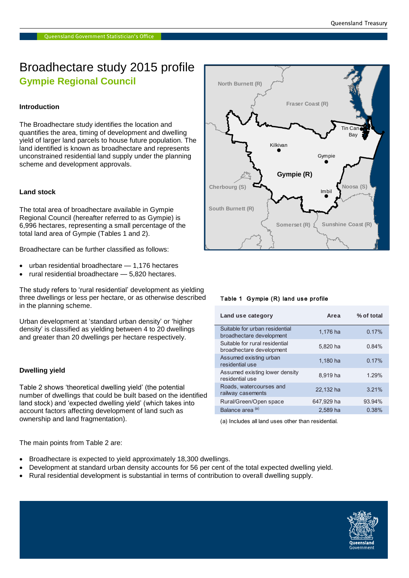# Broadhectare study 2015 profile **Gympie Regional Council**

# **Introduction**

The Broadhectare study identifies the location and quantifies the area, timing of development and dwelling yield of larger land parcels to house future population. The land identified is known as broadhectare and represents unconstrained residential land supply under the planning scheme and development approvals.

# **Land stock**

The total area of broadhectare available in Gympie Regional Council (hereafter referred to as Gympie) is 6,996 hectares, representing a small percentage of the total land area of Gympie (Tables 1 and 2). **Western Downs (R)**

Broadhectare can be further classified as follows:

- urban residential broadhectare 1,176 hectares
- rural residential broadhectare 5,820 hectares.

The study refers to 'rural residential' development as yielding three dwellings or less per hectare, or as otherwise described in the planning scheme.

Urban development at 'standard urban density' or 'higher **Toow** density' is classified as yielding between 4 to 20 dwellings and greater than 20 dwellings per hectare respectively.

## **Dwelling yield**

Table 2 shows 'theoretical dwelling yield' (the potential number of dwellings that could be built based on the identified land stock) and 'expected dwelling yield' (which takes into account factors affecting development of land such as ownership and land fragmentation).

The main points from Table 2 are:

- Broadhectare is expected to yield approximately 18,300 dwellings.
- Development at standard urban density accounts for 56 per cent of the total expected dwelling yield.
- Rural residential development is substantial in terms of contribution to overall dwelling supply.



## Table 1 Gympie (R) land use profile

| Land use category                                          | Area       | % of total |
|------------------------------------------------------------|------------|------------|
| Suitable for urban residential<br>broadhectare development | 1,176 ha   | 0.17%      |
| Suitable for rural residential<br>broadhectare development | 5.820 ha   | 0.84%      |
| Assumed existing urban<br>residential use                  | 1,180 ha   | 0.17%      |
| Assumed existing lower density<br>residential use          | 8.919 ha   | 1.29%      |
| Roads, watercourses and<br>railway casements               | 22.132 ha  | 3.21%      |
| Rural/Green/Open space                                     | 647,929 ha | 93.94%     |
| Balance area <sup>(a)</sup>                                | 2.589 ha   | 0.38%      |

(a) Includes all land uses other than residential.

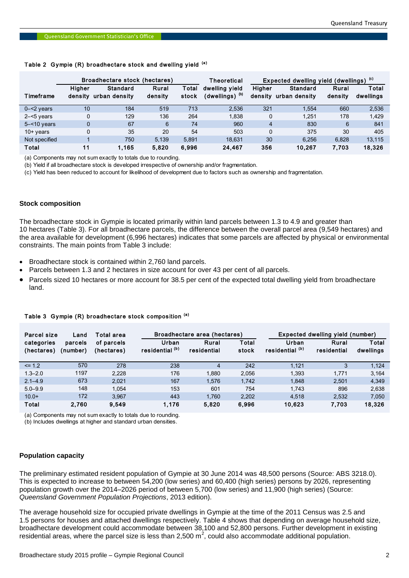## Table 2 Gympie (R) broadhectare stock and dwelling yield (a)

|                                                                                                                                                                                                                                                                                                                                                                                                                                                                                                                                                                                                                                                                                                                                                                                                                                                                                                                                                                                                                                                        | Broadhectare stock (hectares) |                                                                     | <b>Theoretical</b> | Expected dwelling yield (dwellings) (c) |                              |                |                                  |         |           |
|--------------------------------------------------------------------------------------------------------------------------------------------------------------------------------------------------------------------------------------------------------------------------------------------------------------------------------------------------------------------------------------------------------------------------------------------------------------------------------------------------------------------------------------------------------------------------------------------------------------------------------------------------------------------------------------------------------------------------------------------------------------------------------------------------------------------------------------------------------------------------------------------------------------------------------------------------------------------------------------------------------------------------------------------------------|-------------------------------|---------------------------------------------------------------------|--------------------|-----------------------------------------|------------------------------|----------------|----------------------------------|---------|-----------|
|                                                                                                                                                                                                                                                                                                                                                                                                                                                                                                                                                                                                                                                                                                                                                                                                                                                                                                                                                                                                                                                        | Higher                        | <b>Standard</b>                                                     | Rural              | Total                                   | dwelling yield               | Higher         | <b>Standard</b>                  | Rural   | Total     |
| Timeframe                                                                                                                                                                                                                                                                                                                                                                                                                                                                                                                                                                                                                                                                                                                                                                                                                                                                                                                                                                                                                                              |                               | density urban density                                               | density            | stock                                   | (dwellings) <sup>(b)</sup>   |                | density urban density            | density | dwellings |
| $0 - 2$ years                                                                                                                                                                                                                                                                                                                                                                                                                                                                                                                                                                                                                                                                                                                                                                                                                                                                                                                                                                                                                                          | 10                            | 184                                                                 | 519                | 713                                     | 2,536                        | 321            | 1,554                            | 660     | 2,536     |
| $2 - 5$ years                                                                                                                                                                                                                                                                                                                                                                                                                                                                                                                                                                                                                                                                                                                                                                                                                                                                                                                                                                                                                                          | 0                             | 129                                                                 | 136                | 264                                     | 1,838                        | 0              | 1,251                            | 178     | 1,429     |
| $5 - 10$ years                                                                                                                                                                                                                                                                                                                                                                                                                                                                                                                                                                                                                                                                                                                                                                                                                                                                                                                                                                                                                                         | $\mathbf{0}$                  | 67                                                                  | 6                  | 74                                      | 960                          | $\overline{4}$ | 830                              | 6       | 841       |
| $10+$ years                                                                                                                                                                                                                                                                                                                                                                                                                                                                                                                                                                                                                                                                                                                                                                                                                                                                                                                                                                                                                                            | $\mathbf{0}$                  | 35                                                                  | 20                 | 54                                      | 503                          | 0              | 375                              | 30      | 405       |
| Not specified                                                                                                                                                                                                                                                                                                                                                                                                                                                                                                                                                                                                                                                                                                                                                                                                                                                                                                                                                                                                                                          | $\mathbf 1$                   | 750                                                                 | 5,139              | 5,891                                   | 18,631                       | 30             | 6,256                            | 6,828   | 13,115    |
| <b>Total</b>                                                                                                                                                                                                                                                                                                                                                                                                                                                                                                                                                                                                                                                                                                                                                                                                                                                                                                                                                                                                                                           | 11                            | 1,165                                                               | 5,820              | 6,996                                   | 24,467                       | 356            | 10,267                           | 7,703   | 18,326    |
| (a) Components may not sum exactly to totals due to rounding.<br>(b) Yield if all broadhectare stock is developed irrespective of ownership and/or fragmentation.<br>(c) Yield has been reduced to account for likelihood of development due to factors such as ownership and fragmentation.<br><b>Stock composition</b><br>The broadhectare stock in Gympie is located primarily within land parcels between 1.3 to 4.9 and greater than<br>10 hectares (Table 3). For all broadhectare parcels, the difference between the overall parcel area (9,549 hectares) and<br>the area available for development (6,996 hectares) indicates that some parcels are affected by physical or environmental<br>constraints. The main points from Table 3 include:<br>• Broadhectare stock is contained within 2,760 land parcels.<br>• Parcels between 1.3 and 2 hectares in size account for over 43 per cent of all parcels.<br>• Parcels sized 10 hectares or more account for 38.5 per cent of the expected total dwelling yield from broadhectare<br>land. |                               |                                                                     |                    |                                         |                              |                |                                  |         |           |
| <b>Parcel size</b>                                                                                                                                                                                                                                                                                                                                                                                                                                                                                                                                                                                                                                                                                                                                                                                                                                                                                                                                                                                                                                     | Land                          | Table 3 Gympie (R) broadhectare stock composition (a)<br>Total area |                    |                                         | Broadhectare area (hectares) |                | Expected dwelling yield (number) |         |           |

#### **Stock composition**

- Broadhectare stock is contained within 2,760 land parcels.
- Parcels between 1.3 and 2 hectares in size account for over 43 per cent of all parcels.
- Parcels sized 10 hectares or more account for 38.5 per cent of the expected total dwelling yield from broadhectare land.

| Parcel size<br>Land      |                     | Total area               | Broadhectare area (hectares)        |                      |                | Expected dwelling yield (number)    |                      |                    |
|--------------------------|---------------------|--------------------------|-------------------------------------|----------------------|----------------|-------------------------------------|----------------------|--------------------|
| categories<br>(hectares) | parcels<br>(number) | of parcels<br>(hectares) | Urban<br>residential <sup>(b)</sup> | Rural<br>residential | Total<br>stock | Urban<br>residential <sup>(b)</sup> | Rural<br>residential | Total<br>dwellings |
| $\leq$ 1.2               | 570                 | 278                      | 238                                 | 4                    | 242            | 1.121                               | 3                    | 1.124              |
| $1.3 - 2.0$              | 1197                | 2.228                    | 176                                 | 1.880                | 2.056          | 1.393                               | 1.771                | 3,164              |
| $2.1 - 4.9$              | 673                 | 2.021                    | 167                                 | 1.576                | 1.742          | 1.848                               | 2.501                | 4.349              |
| $5.0 - 9.9$              | 148                 | 1.054                    | 153                                 | 601                  | 754            | 1.743                               | 896                  | 2,638              |
| $10.0+$                  | 172                 | 3.967                    | 443                                 | 1.760                | 2.202          | 4.518                               | 2,532                | 7,050              |
| Total                    | 2.760               | 9.549                    | 1.176                               | 5,820                | 6,996          | 10.623                              | 7.703                | 18,326             |

#### Table 3 Gympie (R) broadhectare stock composition (a)

(a) Components may not sum exactly to totals due to rounding.

(b) Includes dwellings at higher and standard urban densities.

## **Population capacity**

The preliminary estimated resident population of Gympie at 30 June 2014 was 48,500 persons (Source: ABS 3218.0). This is expected to increase to between 54,200 (low series) and 60,400 (high series) persons by 2026, representing population growth over the 2014–2026 period of between 5,700 (low series) and 11,900 (high series) (Source: *Queensland Government Population Projections*, 2013 edition).

The average household size for occupied private dwellings in Gympie at the time of the 2011 Census was 2.5 and 1.5 persons for houses and attached dwellings respectively. Table 4 shows that depending on average household size, broadhectare development could accommodate between 38,100 and 52,800 persons. Further development in existing residential areas, where the parcel size is less than 2,500 m<sup>2</sup>, could also accommodate additional population.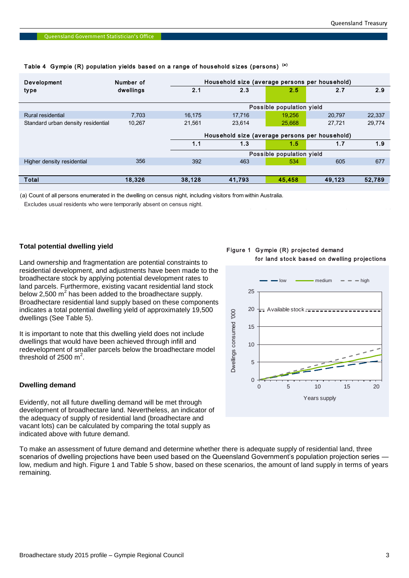| Development                        | Number of |        | Household size (average persons per household) |        |        |        |  |  |  |
|------------------------------------|-----------|--------|------------------------------------------------|--------|--------|--------|--|--|--|
| type                               | dwellings | 2.1    | 2.3                                            | 2.5    | 2.7    | 2.9    |  |  |  |
|                                    |           |        | Possible population yield                      |        |        |        |  |  |  |
| Rural residential                  | 7.703     | 16.175 | 17.716                                         | 19.256 | 20,797 | 22,337 |  |  |  |
| Standard urban density residential | 10.267    | 21.561 | 23,614                                         | 25,668 | 27,721 | 29,774 |  |  |  |
|                                    |           |        | Household size (average persons per household) |        |        |        |  |  |  |
|                                    |           | 1.1    | 1.3                                            | 1.5    | 1.7    | 1.9    |  |  |  |
|                                    |           |        | Possible population yield                      |        |        |        |  |  |  |
| Higher density residential         | 356       | 392    | 463                                            | 534    | 605    | 677    |  |  |  |
|                                    |           |        |                                                |        |        |        |  |  |  |
| Total                              | 18,326    | 38,128 | 41,793                                         | 45.458 | 49,123 | 52,789 |  |  |  |

# Table 4 Gympie (R) population yields based on a range of household sizes (persons) (a)

(a) Count of all persons enumerated in the dwelling on census night, including visitors from within Australia.

Excludes usual residents who were temporarily absent on census night.

# **Total potential dwelling yield**

Land ownership and fragmentation are potential constraints to residential development, and adjustments have been made to the broadhectare stock by applying potential development rates to land parcels. Furthermore, existing vacant residential land stock below 2,500  $m^2$  has been added to the broadhectare supply. Broadhectare residential land supply based on these components indicates a total potential dwelling yield of approximately 19,500 dwellings (See Table 5).

It is important to note that this dwelling yield does not include dwellings that would have been achieved through infill and redevelopment of smaller parcels below the broadhectare model threshold of 2500  $m^2$ .

# **Dwelling demand**

Evidently, not all future dwelling demand will be met through development of broadhectare land. Nevertheless, an indicator of the adequacy of supply of residential land (broadhectare and vacant lots) can be calculated by comparing the total supply as indicated above with future demand.

To make an assessment of future demand and determine whether there is adequate supply of residential land, three scenarios of dwelling projections have been used based on the Queensland Government's population projection series low, medium and high. Figure 1 and Table 5 show, based on these scenarios, the amount of land supply in terms of years remaining.

Figure 1 Gympie (R) projected demand for land stock based on dwelling projections

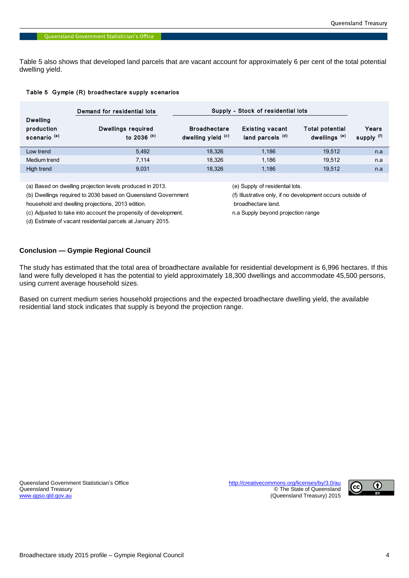Table 5 also shows that developed land parcels that are vacant account for approximately 6 per cent of the total potential dwelling yield.

## Table 5 Gympie (R) broadhectare supply scenarios

|                                                          | Demand for residential lots         | Supply - Stock of residential lots        |                                                       |                                             |                     |
|----------------------------------------------------------|-------------------------------------|-------------------------------------------|-------------------------------------------------------|---------------------------------------------|---------------------|
| <b>Dwelling</b><br>production<br>scenario <sup>(a)</sup> | Dwellings required<br>to 2036 $(b)$ | <b>Broadhectare</b><br>dwelling yield (c) | <b>Existing vacant</b><br>land parcels <sup>(d)</sup> | Total potential<br>dwellings <sup>(e)</sup> | Years<br>supply (f) |
| Low trend                                                | 5.492                               | 18.326                                    | 1.186                                                 | 19.512                                      | n.a                 |
| Medium trend                                             | 7.114                               | 18.326                                    | 1.186                                                 | 19.512                                      | n.a                 |
| High trend                                               | 9.031                               | 18.326                                    | 1,186                                                 | 19.512                                      | n.a                 |

(a) Based on dwelling projection levels produced in 2013. (e) Supply of residential lots.

(b) Dwellings required to 2036 based on Queensland Government (f) Illustrative only, if no development occurs outside of

household and dwelling projections, 2013 edition. broadhectare land.

(c) Adjusted to take into account the propensity of development. n.a Supply beyond projection range

(d) Estimate of vacant residential parcels at January 2015.

## **Conclusion — Gympie Regional Council**

The study has estimated that the total area of broadhectare available for residential development is 6,996 hectares. If this land were fully developed it has the potential to yield approximately 18,300 dwellings and accommodate 45,500 persons, using current average household sizes.

Based on current medium series household projections and the expected broadhectare dwelling yield, the available residential land stock indicates that supply is beyond the projection range.

Queensland Government Statistician's Office <http://creativecommons.org/licenses/by/3.0/au><br>Queensland Treasury exercise of Queensland © The State of Queensland [www.qgso.qld.gov.au](http://www.qgso.qld.gov.au/) (Queensland Treasury) 2015